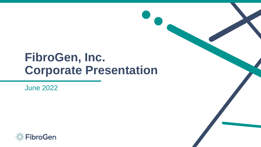# **FibroGen, Inc. Corporate Presentation**

June 2022

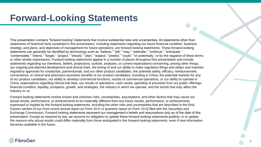### **Forward-Looking Statements**

This presentation contains "forward-looking" statements that involve substantial risks and uncertainties. All statements other than statements of historical facts contained in this presentation, including statements regarding our future financial condition, business strategy, and plans, and objectives of management for future operations, are forward looking statements. These forward-looking statements can generally be identified by terminology such as "believe," "will," "may," "estimate," "continue," "anticipate," "contemplate," "intend," "target," "project," "should," "plan," "expect," "predict," "could," "or potentially," or by the negative of these terms or other similar expressions. Forward-looking statements appear in a number of places throughout this presentation and include statements regarding our intentions, beliefs, projections, outlook, analyses, or current expectations concerning, among other things, our ongoing and planned development and clinical trials, the timing of and our ability to make regulatory filings and obtain and maintain regulatory approvals for roxadustat, pamrevlumab, and our other product candidates, the potential safety, efficacy, reimbursement, convenience, or clinical and pharmaco-economic benefits of our product candidates, including in China, the potential markets for any of our product candidates, our ability to develop commercial functions, results of commercial operations, or our ability to operate in China, expectations regarding clinical trial data, our results of operations, cash needs, spending of proceeds from our public offerings, financial condition, liquidity, prospects, growth, and strategies, the industry in which we operate, and the trends that may affect the industry or us.

Forward-looking statements involve known and unknown risks, uncertainties, assumptions, and other factors that may cause our actual results, performance, or achievements to be materially different from any future results, performance, or achievements expressed or implied by the forward-looking statements, including the other risks and uncertainties that are described in the Risk Factors section of our most recent annual report on Form 10-K or quarterly report on Form 10-Q filed with the Securities and Exchange Commission. Forward-looking statements represent our management's beliefs and assumptions only as of the date of this presentation. Except as required by law, we assume no obligation to update these forward-looking statements publicly, or to update the reasons why actual results could differ materially from those anticipated in the forward-looking statements, even if new information becomes available in the future.

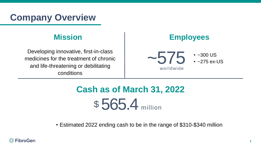# **Company Overview**

Developing innovative, first-in-class medicines for the treatment of chronic and life-threatening or debilitating conditions

### **Mission Employees**



# **Cash as of March 31, 2022** \$ 565.4 million

• Estimated 2022 ending cash to be in the range of \$310-\$340 million

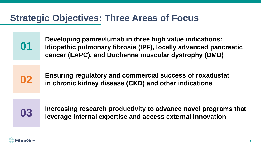### **Strategic Objectives: Three Areas of Focus**

**01**

**Developing pamrevlumab in three high value indications: Idiopathic pulmonary fibrosis (IPF), locally advanced pancreatic cancer (LAPC), and Duchenne muscular dystrophy (DMD)**

**02 Ensuring regulatory and commercial success of roxadustat in chronic kidney disease (CKD) and other indications**

**03 Increasing research productivity to advance novel programs that <br>
<b>03 Inverses internal expertise and assesse external innovation leverage internal expertise and access external innovation**

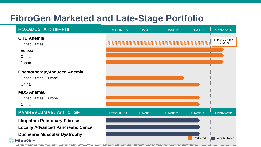# **FibroGen Marketed and Late-Stage Portfolio**

| <b>ROXADUSTAT: HIF-PHI</b>                                                                                              | <b>PRECLINICAL</b> | <b>PHASE 1</b> | <b>PHASE 2</b> | <b>PHASE 3</b> | <b>APPROVED</b>              |
|-------------------------------------------------------------------------------------------------------------------------|--------------------|----------------|----------------|----------------|------------------------------|
| <b>CKD Anemia</b><br><b>United States</b>                                                                               |                    |                |                |                | FDA issued CRL<br>on 8/11/21 |
| Europe<br>China                                                                                                         |                    |                |                |                |                              |
| Japan                                                                                                                   |                    |                |                |                |                              |
| <b>Chemotherapy-Induced Anemia</b><br><b>United States, Europe</b><br>China                                             |                    |                |                |                |                              |
| <b>MDS Anemia</b><br><b>United States, Europe</b><br>China                                                              |                    |                |                |                |                              |
| <b>PAMREVLUMAB: Anti-CTGF</b>                                                                                           | <b>PRECLINICAL</b> | <b>PHASE 1</b> | <b>PHASE 2</b> | <b>PHASE 3</b> | <b>APPROVED</b>              |
| <b>Idiopathic Pulmonary Fibrosis</b><br><b>Locally Advanced Pancreatic Cancer</b><br><b>Duchenne Muscular Dystrophy</b> |                    |                |                |                |                              |
| <b>FibroGen</b>                                                                                                         |                    |                |                | Partnered      | <b>Wholly Owned</b>          |

Partnerships: Astellas: Japan, Europe, Turkey, Russia and the Commonwealth of Independent States, the Middle East and South Africa; AstraZeneca: U.S., China, and in all other markets not licensed to Astel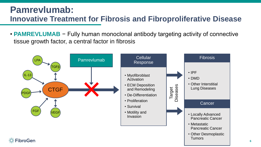### **Pamrevlumab: Innovative Treatment for Fibrosis and Fibroproliferative Disease**

• **PAMREVLUMAB** − Fully human monoclonal antibody targeting activity of connective tissue growth factor, a central factor in fibrosis

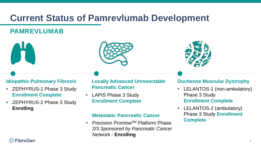## **Current Status of Pamrevlumab Development**

### **PAMREVLUMAB**





#### **Idiopathic Pulmonary Fibrosis**

- ZEPHYRUS-1 Phase 3 Study **Enrollment Complete**
- ZEPHYRUS-2 Phase 3 Study **Enrolling**

**Locally Advanced Unresectable Pancreatic Cancer** 

• LAPIS Phase 3 Study **Enrollment Complete**

#### **Metastatic Pancreatic Cancer**

• Precision Promise<sup>SM</sup> Platform Phase 2/3 *Sponsored by Pancreatic Cancer Network* - **Enrolling**

#### **Duchenne Muscular Dystrophy**

- LELANTOS-1 (non-ambulatory) Phase 3 Study **Enrollment Complete**
- LELANTOS-2 (ambulatory) Phase 3 Study **Enrollment Complete**

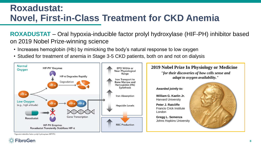### **Roxadustat: Novel, First-in-Class Treatment for CKD Anemia**

**ROXADUSTAT** – Oral hypoxia-inducible factor prolyl hydroxylase (HIF-PH) inhibitor based on 2019 Nobel Prize-winning science

- Increases hemoglobin (Hb) by mimicking the body's natural response to low oxygen
- Studied for treatment of anemia in Stage 3-5 CKD patients, both on and not on dialysis



\*Hypoxia-inducible factor prolyl hydroxylase (HIF-PH)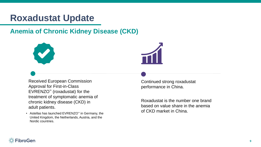### **Roxadustat Update**

**Anemia of Chronic Kidney Disease (CKD)** 





Received European Commission Approval for First-in-Class EVRENZO™ (roxadustat) for the treatment of symptomatic anemia of chronic kidney disease (CKD) in adult patients.

• Astellas has launched EVRENZO™ in Germany, the United Kingdom, the Netherlands, Austria, and the Nordic countries.

Continued strong roxadustat performance in China.

Roxadustat is the number one brand based on value share in the anemia of CKD market in China.

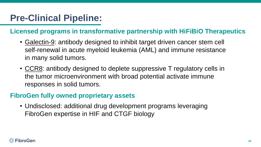# **Pre-Clinical Pipeline:**

#### **Licensed programs in transformative partnership with HiFiBiO Therapeutics**

- Galectin-9: antibody designed to inhibit target driven cancer stem cell self-renewal in acute myeloid leukemia (AML) and immune resistance in many solid tumors.
- CCR8: antibody designed to deplete suppressive T regulatory cells in the tumor microenvironment with broad potential activate immune responses in solid tumors.

#### **FibroGen fully owned proprietary assets**

• Undisclosed: additional drug development programs leveraging FibroGen expertise in HIF and CTGF biology

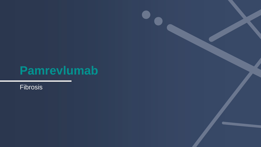# **Pamrevlumab**

Fibrosis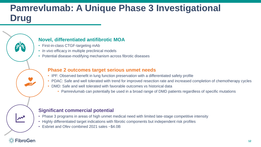### **Pamrevlumab: A Unique Phase 3 Investigational Drug**

#### **Novel, differentiated antifibrotic MOA**

- First-in-class CTGF-targeting mAb
- *In vivo* efficacy in multiple preclinical models
- Potential disease-modifying mechanism across fibrotic diseases

#### **Phase 2 outcomes target serious unmet needs**

- IPF: Observed benefit in lung function preservation with a differentiated safety profile
- PDAC: Safe and well tolerated with trend for improved resection rate and increased completion of chemotherapy cycles
- DMD: Safe and well tolerated with favorable outcomes vs historical data
	- Pamrevlumab can potentially be used in a broad range of DMD patients regardless of specific mutations

#### **Significant commercial potential**

- Phase 3 programs in areas of high unmet medical need with limited late-stage competitive intensity
- Highly differentiated target indications with fibrotic components but independent risk profiles
- Esbriet and Ofev combined 2021 sales ~\$4.0B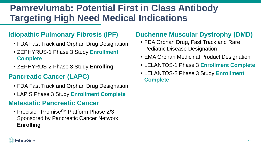### **Pamrevlumab: Potential First in Class Antibody Targeting High Need Medical Indications**

#### **Idiopathic Pulmonary Fibrosis (IPF)**

- FDA Fast Track and Orphan Drug Designation
- ZEPHYRUS-1 Phase 3 Study **Enrollment Complete**
- ZEPHYRUS-2 Phase 3 Study **Enrolling**

#### **Pancreatic Cancer (LAPC)**

- FDA Fast Track and Orphan Drug Designation
- LAPIS Phase 3 Study **Enrollment Complete**

#### **Metastatic Pancreatic Cancer**

• Precision Promise<sup>SM</sup> Platform Phase 2/3 Sponsored by Pancreatic Cancer Network **Enrolling**

### **Duchenne Muscular Dystrophy (DMD)**

- FDA Orphan Drug, Fast Track and Rare Pediatric Disease Designation
- EMA Orphan Medicinal Product Designation
- LELANTOS-1 Phase 3 **Enrollment Complete**
- LELANTOS-2 Phase 3 Study **Enrollment Complete**

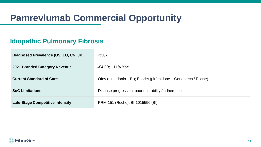# **Pamrevlumab Commercial Opportunity**

#### **Idiopathic Pulmonary Fibrosis**

| Diagnosed Prevalence (US, EU, CN, JP)   | $-330k$                                                           |
|-----------------------------------------|-------------------------------------------------------------------|
| 2021 Branded Category Revenue           | $\sim$ \$4.0B; +11% YoY                                           |
| <b>Current Standard of Care</b>         | Ofev (nintedanib – BI); Esbriet (pirfenidone – Genentech / Roche) |
| <b>SoC Limitations</b>                  | Disease progression; poor tolerability / adherence                |
| <b>Late-Stage Competitive Intensity</b> | PRM-151 (Roche), BI-1015550 (BI)                                  |

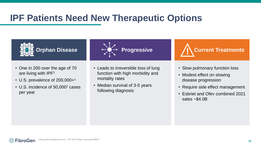### **IPF Patients Need New Therapeutic Options**



- One in 200 over the age of 70 are living with IPF<sup>1</sup>
- U.S. prevalence of 200,000+<sup>1</sup>
- U.S. incidence of 50,000<sup>1</sup> cases per year
- Leads to irreversible loss of lung function with high morbidity and mortality rates
- Median survival of 3-5 years following diagnosis
- **Progressive 2018 / Current Treatments !**
	- Slow pulmonary function loss
	- Modest effect on slowing disease progression
	- Require side effect management
	- Esbriet and Ofev combined 2021 sales  $~54.0B$

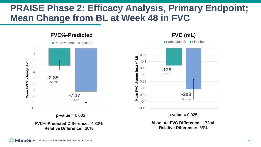### **PRAISE Phase 2: Efficacy Analysis, Primary Endpoint; Mean Change from BL at Week 48 in FVC**

**FVC%-Predicted**



**p-value =** 0.033

**FVC%-Predicted Difference:** 4.33% **Relative Difference:** 60%





**Absolute FVC Difference:** 178mL **Relative Difference:** 58%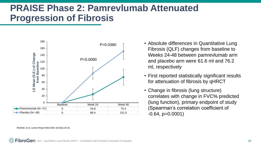### **PRAISE Phase 2: Pamrevlumab Attenuated Progression of Fibrosis**



- Absolute differences in Quantitative Lung Fibrosis (QLF) changes from baseline to Weeks 24-48 between pamrevlumab arm and placebo arm were 61.6 ml and 76.2 ml, respectively
- First reported statistically significant results for attenuation of fibrosis by qHRCT
- Change in fibrosis (lung structure) correlates with change in FVC% predicted (lung function), primary endpoint of study (Spearman's correlation coefficient of  $-0.64$ ,  $p=0.0001$ )

*Richeldi, et al. Lancet Respir Med 2020 Jan;8(1):25-33.*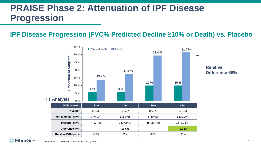### **PRAISE Phase 2: Attenuation of IPF Disease Progression**

#### **IPF Disease Progression (FVC% Predicted Decline ≥10% or Death) vs. Placebo**



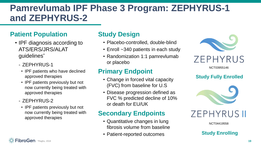### **Pamrevlumab IPF Phase 3 Program: ZEPHYRUS-1 and ZEPHYRUS-2**

#### **Patient Population**

- IPF diagnosis according to ATS/ERS/JRS/ALAT guidelines\*
	- ZEPHYRUS-1
		- IPF patients who have declined approved therapies
		- IPF patients previously but not now currently being treated with approved therapies
	- ZEPHYRUS-2
		- IPF patients previously but not now currently being treated with approved therapies

#### **Study Design**

- Placebo-controlled, double-blind
- Enroll ~340 patients in each study
- Randomization 1:1 pamrevlumab or placebo

#### **Primary Endpoint**

- Change in forced vital capacity (FVC) from baseline for U.S
- Disease progression defined as FVC % predicted decline of 10% or death for EU/UK

### **Secondary Endpoints**

- Quantitative changes in lung fibrosis volume from baseline
- Patient-reported outcomes



NCT03955146

#### **Study Fully Enrolled**



**ZEPHYRUS II** 

NCT04419558

**Study Enrolling**

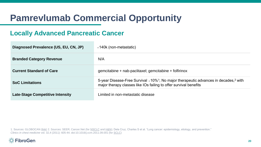# **Pamrevlumab Commercial Opportunity**

#### **Locally Advanced Pancreatic Cancer**

| Diagnosed Prevalence (US, EU, CN, JP)   | ~140k (non-metastatic)                                                                                                                                                            |
|-----------------------------------------|-----------------------------------------------------------------------------------------------------------------------------------------------------------------------------------|
| <b>Branded Category Revenue</b>         | N/A                                                                                                                                                                               |
| <b>Current Standard of Care</b>         | gemcitabine + nab-paclitaxel; gemcitabine + folfirinox                                                                                                                            |
| <b>SoC Limitations</b>                  | 5-year Disease-Free Survival ~10% <sup>1</sup> ; No major therapeutic advances in decades, <sup>2</sup> with<br>major therapy classes like IOs failing to offer survival benefits |
| <b>Late-Stage Competitive Intensity</b> | Limited in non-metastatic disease                                                                                                                                                 |

1. Sources: GLOBOCAN ([link\)](https://gco.iarc.fr/today/data/factsheets/populations/160-china-fact-sheets.pdf) 2. Sources: SEER; Cancer.Net (for [NSCLC](https://www.cancer.net/cancer-types/lung-cancer-non-small-cell/statistics) and [H&N](https://www.cancer.net/cancer-types/laryngeal-and-hypopharyngeal-cancer/statistics)); Dela Cruz, Charles S et al. "Lung cancer: epidemiology, etiology, and prevention." *Clinics in chest medicine* vol. 32,4 (2011): 605-44. doi:10.1016/j.ccm.2011.09.001 (for [SCLC](https://www.ncbi.nlm.nih.gov/pmc/articles/PMC3864624/))

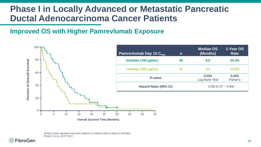### **Phase I in Locally Advanced or Metastatic Pancreatic Ductal Adenocarcinoma Cancer Patients**

#### **Improved OS with Higher Pamrevlumab Exposure**



Empty circles represent censored subjects (2 subjects alive at data cut-off date). Picozzi V et al. JCCT 2017.

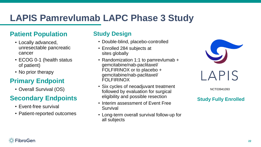# **LAPIS Pamrevlumab LAPC Phase 3 Study**

#### **Patient Population**

- Locally advanced, unresectable pancreatic cancer
- ECOG 0-1 (health status of patient)
- No prior therapy

### **Primary Endpoint**

• Overall Survival (OS)

### **Secondary Endpoints**

- Event-free survival
- Patient-reported outcomes

#### **Study Design**

- Double-blind, placebo-controlled
- Enrolled 284 subjects at sites globally
- Randomization 1:1 to pamrevlumab + gemcitabine/nab-paclitaxel/ FOLFIRINOX or to placebo + gemcitabine/nab-paclitaxel/ FOLFIRINOX
- Six cycles of neoadjuvant treatment followed by evaluation for surgical eligibility and possible resection
- Interim assessment of Event Free Survival
- Long-term overall survival follow-up for all subjects



NCT03941093

#### **Study Fully Enrolled**

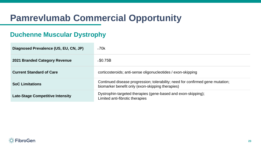# **Pamrevlumab Commercial Opportunity**

#### **Duchenne Muscular Dystrophy**

| Diagnosed Prevalence (US, EU, CN, JP)   | ~270k                                                                                                                              |
|-----------------------------------------|------------------------------------------------------------------------------------------------------------------------------------|
| 2021 Branded Category Revenue           | ~1.50.75B                                                                                                                          |
| <b>Current Standard of Care</b>         | corticosteroids; anti-sense oligonucleotides / exon-skipping                                                                       |
| <b>SoC Limitations</b>                  | Continued disease progression; tolerability; need for confirmed gene mutation;<br>biomarker benefit only (exon-skipping therapies) |
| <b>Late-Stage Competitive Intensity</b> | Dystrophin-targeted therapies (gene-based and exon-skipping);<br>Limited anti-fibrotic therapies                                   |

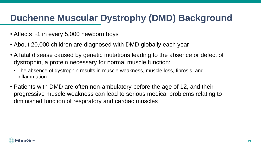## **Duchenne Muscular Dystrophy (DMD) Background**

- Affects ~1 in every 5,000 newborn boys
- About 20,000 children are diagnosed with DMD globally each year
- A fatal disease caused by genetic mutations leading to the absence or defect of dystrophin, a protein necessary for normal muscle function:
	- The absence of dystrophin results in muscle weakness, muscle loss, fibrosis, and inflammation
- Patients with DMD are often non-ambulatory before the age of 12, and their progressive muscle weakness can lead to serious medical problems relating to diminished function of respiratory and cardiac muscles

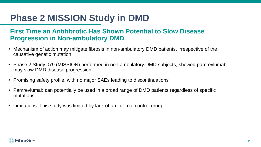# **Phase 2 MISSION Study in DMD**

#### **First Time an Antifibrotic Has Shown Potential to Slow Disease Progression in Non-ambulatory DMD**

- Mechanism of action may mitigate fibrosis in non-ambulatory DMD patients, irrespective of the causative genetic mutation
- Phase 2 Study 079 (MISSION) performed in non-ambulatory DMD subjects, showed pamrevlumab may slow DMD disease progression
- Promising safety profile, with no major SAEs leading to discontinuations
- Pamrevlumab can potentially be used in a broad range of DMD patients regardless of specific mutations
- Limitations: This study was limited by lack of an internal control group

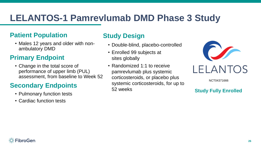## **LELANTOS-1 Pamrevlumab DMD Phase 3 Study**

#### **Patient Population**

• Males 12 years and older with nonambulatory DMD

#### **Primary Endpoint**

• Change in the total score of performance of upper limb (PUL) assessment, from baseline to Week 52

#### **Secondary Endpoints**

- Pulmonary function tests
- Cardiac function tests

#### **Study Design**

- Double-blind, placebo-controlled
- Enrolled 99 subjects at sites globally
- Randomized 1:1 to receive pamrevlumab plus systemic corticosteroids, or placebo plus systemic corticosteroids, for up to 52 weeks



NCT04371666

**Study Fully Enrolled**

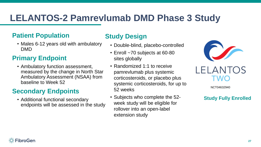## **LELANTOS-2 Pamrevlumab DMD Phase 3 Study**

#### **Patient Population**

• Males 6-12 years old with ambulatory DMD

#### **Primary Endpoint**

• Ambulatory function assessment, measured by the change in North Star Ambulatory Assessment (NSAA) from baseline to Week 52

#### **Secondary Endpoints**

• Additional functional secondary endpoints will be assessed in the study

### **Study Design**

- Double-blind, placebo-controlled
- Enroll ~70 subjects at 60-80 sites globally
- Randomized 1:1 to receive pamrevlumab plus systemic corticosteroids, or placebo plus systemic corticosteroids, for up to 52 weeks
- Subjects who complete the 52 week study will be eligible for rollover into an open-label extension study



### LELANTOS **IMO**

NCT04632940

#### **Study Fully Enrolled**

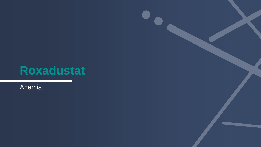# **Roxadustat**

**Anemia**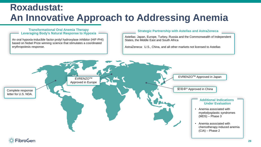### **Roxadustat: An Innovative Approach to Addressing Anemia**

**Transformational Oral Anemia Therapy Leveraging Body's Natural Response to Hypoxia Strategic Partnership with Astellas and AstraZeneca**

An oral hypoxia-inducible factor prolyl hydroxylase inhibitor (HIF-PHI) based on Nobel Prize winning science that stimulates a coordinated erythropoiesis response.

Astellas: Japan, Europe, Turkey, Russia and the Commonwealth of Independent States, the Middle East and South Africa

AstraZeneca: U.S., China, and all other markets not licensed to Astellas



**29**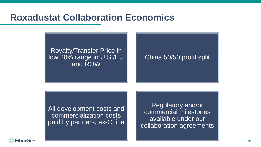### **Roxadustat Collaboration Economics**

#### Royalty/Transfer Price in low 20% range in U.S./EU and ROW

#### China 50/50 profit split

All development costs and commercialization costs paid by partners, ex-China

Regulatory and/or commercial milestones available under our collaboration agreements

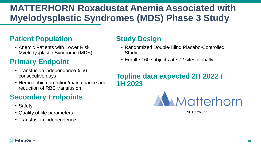## **MATTERHORN Roxadustat Anemia Associated with Myelodysplastic Syndromes (MDS) Phase 3 Study**

### **Patient Population**

• Anemic Patients with Lower Risk Myelodysplastic Syndrome (MDS)

### **Primary Endpoint**

- Transfusion independence ≥ 56 consecutive days
- Hemoglobin correction/maintenance and reduction of RBC transfusion

### **Secondary Endpoints**

- Safety
- Quality of life parameters
- Transfusion independence

### **Study Design**

- Randomized Double-Blind Placebo-Controlled **Study**
- Enroll ~160 subjects at ~72 sites globally

### **Topline data expected 2H 2022 / 1H 2023**



NCT03263091

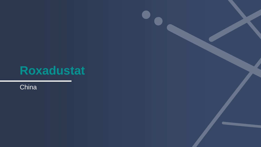# **Roxadustat**

**China**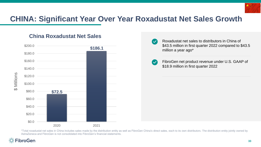

### **CHINA: Significant Year Over Year Roxadustat Net Sales Growth**

#### **China Roxadustat Net Sales**





FibroGen net product revenue under U.S. GAAP of \$18.9 million in first quarter 2022

\*Total roxadustat net sales in China includes sales made by the distribution entity as well as FibroGen China's direct sales, each to its own distributors. The distribution entity jointly owned by AstraZeneca and FibroGen is not consolidated into FibroGen's financial statements.

 $\overline{\mathbf{v}}$ 

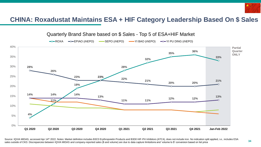

#### **CHINA: Roxadustat Maintains ESA + HIF Category Leadership Based On \$ Sales**



Source: IQVIA MIDAS, accessed Apr 14<sup>th</sup> 2022. Notes: Market definition includes B3C0 Erythropoietin Products and B3D0 HIF-PH Inhibitors (ATC4), does not include iron. No indication split applied, i.e., includes ESA 34 sales outside of CKD. Discrepancies between IQVIA MIDAS and company-reported sales (\$ and volume) are due to data capture limitations and 'volume to \$' conversion based on list price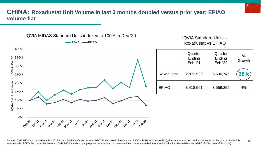**CHINA: Roxadustat Unit Volume in last 3 months doubled versus prior year; EPIAO volume flat**

IQVIA MIDAS Standard Units indexed to 100% in Dec '20



 $ROXA \rightarrow EPIAO$ 

IQVIA Standard Units – Roxadustat vs EPIAO

|              | Quarter<br>Ending<br>Feb '21 | Quarter<br>Ending<br>Feb '22 | $\%$<br>Growth |
|--------------|------------------------------|------------------------------|----------------|
| Roxadustat   | 2,872,530                    | 5,690,745                    | 98%            |
| <b>EPIAO</b> | 3,418,561                    | 3,556,255                    | 4%             |

**<sup>35</sup>** Source: IQVIA MIDAS, accessed Apr 14<sup>th</sup> 2022. Notes: Market definition includes B3C0 Erythropoietin Products and B3D0 HIF-PH Inhibitors (ATC4), does not include iron. No indication split applied, i.e., includes ESA sales outside of CKD. Discrepancies between IQVIA MIDAS and company-reported sales (\$ and volume) are due to data capture limitations and distribution channel dynamics (MFG → Distributor → Hospital)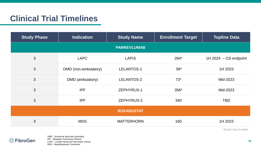### **Clinical Trial Timelines**

| <b>Study Phase</b> | <b>Indication</b>    | <b>Study Name</b>  | <b>Enrollment Target</b> | <b>Topline Data</b>     |
|--------------------|----------------------|--------------------|--------------------------|-------------------------|
|                    |                      | <b>PAMREVLUMAB</b> |                          |                         |
| 3                  | <b>LAPC</b>          | <b>LAPIS</b>       | 284*                     | 1H 2024 $-$ OS endpoint |
| 3                  | DMD (non-ambulatory) | <b>LELANTOS-1</b>  | $99*$                    | 1H 2023                 |
| 3                  | DMD (ambulatory)     | LELANTOS-2         | $73*$                    | Mid-2023                |
| 3                  | <b>IPF</b>           | <b>ZEPHYRUS-1</b>  | 356*                     | Mid-2023                |
| 3                  | <b>IPF</b>           | <b>ZEPHYRUS-2</b>  | 340                      | <b>TBD</b>              |
|                    |                      | <b>ROXADUSTAT</b>  |                          |                         |
| 3                  | <b>MDS</b>           | <b>MATTERHORN</b>  | 160                      | 1H 2023                 |

\*Study Fully Enrolled



DMD - Duchenne Muscular Dystrophy IPF - Idiopathic Pulmonary Fibrosis LAPC - Locally Advanced Pancreatic Cancer MDS - Myelodysplastic Syndrome